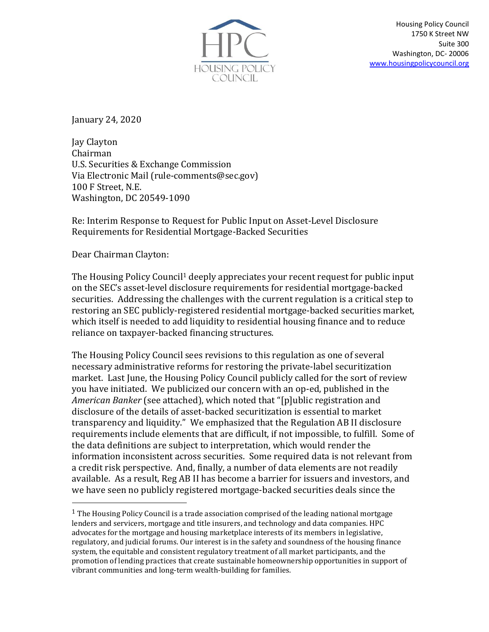

January 24, 2020

Jay Clayton Chairman U.S. Securities & Exchange Commission Via Electronic Mail (rule-comments@sec.gov) 100 F Street, N.E. Washington, DC 20549-1090

Re: Interim Response to Request for Public Input on Asset-Level Disclosure Requirements for Residential Mortgage-Backed Securities

Dear Chairman Clayton:

The Housing Policy Council<sup>1</sup> deeply appreciates your recent request for public input on the SEC's asset-level disclosure requirements for residential mortgage-backed securities. Addressing the challenges with the current regulation is a critical step to restoring an SEC publicly-registered residential mortgage-backed securities market, which itself is needed to add liquidity to residential housing finance and to reduce reliance on taxpayer-backed financing structures.

The Housing Policy Council sees revisions to this regulation as one of several necessary administrative reforms for restoring the private-label securitization market. Last June, the Housing Policy Council publicly called for the sort of review you have initiated. We publicized our concern with an op-ed, published in the *American Banker* (see attached), which noted that "[p]ublic registration and disclosure of the details of asset-backed securitization is essential to market transparency and liquidity." We emphasized that the Regulation AB II disclosure requirements include elements that are difficult, if not impossible, to fulfill. Some of the data definitions are subject to interpretation, which would render the information inconsistent across securities. Some required data is not relevant from a credit risk perspective. And, finally, a number of data elements are not readily available. As a result, Reg AB II has become a barrier for issuers and investors, and we have seen no publicly registered mortgage-backed securities deals since the

<sup>&</sup>lt;sup>1</sup> The Housing Policy Council is a trade association comprised of the leading national mortgage lenders and servicers, mortgage and title insurers, and technology and data companies. HPC advocates for the mortgage and housing marketplace interests of its members in legislative, regulatory, and judicial forums. Our interest is in the safety and soundness of the housing finance system, the equitable and consistent regulatory treatment of all market participants, and the promotion of lending practices that create sustainable homeownership opportunities in support of vibrant communities and long-term wealth-building for families.